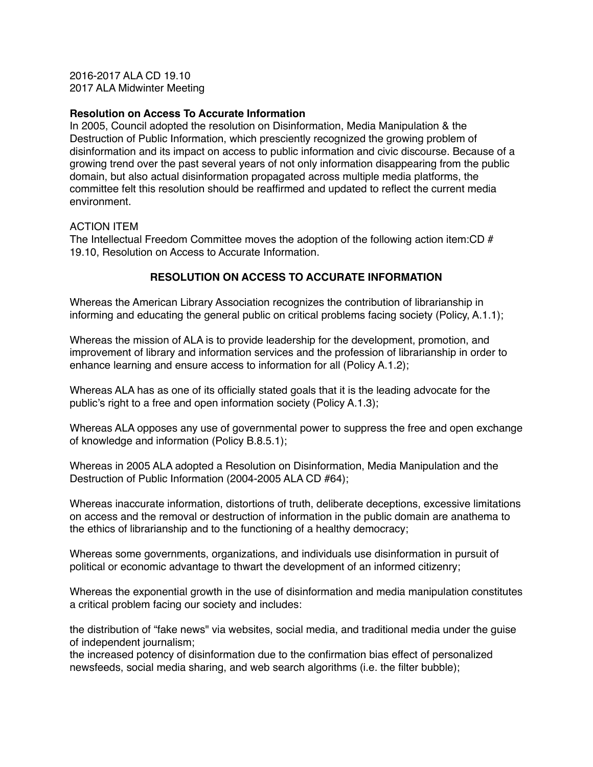2016-2017 ALA CD 19.10 2017 ALA Midwinter Meeting

## **Resolution on Access To Accurate Information**

In 2005, Council adopted the resolution on Disinformation, Media Manipulation & the Destruction of Public Information, which presciently recognized the growing problem of disinformation and its impact on access to public information and civic discourse. Because of a growing trend over the past several years of not only information disappearing from the public domain, but also actual disinformation propagated across multiple media platforms, the committee felt this resolution should be reaffirmed and updated to reflect the current media environment.

## ACTION ITEM

The Intellectual Freedom Committee moves the adoption of the following action item:CD # 19.10, Resolution on Access to Accurate Information.

## **RESOLUTION ON ACCESS TO ACCURATE INFORMATION**

Whereas the American Library Association recognizes the contribution of librarianship in informing and educating the general public on critical problems facing society (Policy, A.1.1);

Whereas the mission of ALA is to provide leadership for the development, promotion, and improvement of library and information services and the profession of librarianship in order to enhance learning and ensure access to information for all (Policy A.1.2);

Whereas ALA has as one of its officially stated goals that it is the leading advocate for the public's right to a free and open information society (Policy A.1.3);

Whereas ALA opposes any use of governmental power to suppress the free and open exchange of knowledge and information (Policy B.8.5.1);

Whereas in 2005 ALA adopted a Resolution on Disinformation, Media Manipulation and the Destruction of Public Information (2004-2005 ALA CD #64);

Whereas inaccurate information, distortions of truth, deliberate deceptions, excessive limitations on access and the removal or destruction of information in the public domain are anathema to the ethics of librarianship and to the functioning of a healthy democracy;

Whereas some governments, organizations, and individuals use disinformation in pursuit of political or economic advantage to thwart the development of an informed citizenry;

Whereas the exponential growth in the use of disinformation and media manipulation constitutes a critical problem facing our society and includes:

the distribution of "fake news" via websites, social media, and traditional media under the guise of independent journalism;

the increased potency of disinformation due to the confirmation bias effect of personalized newsfeeds, social media sharing, and web search algorithms (i.e. the filter bubble);